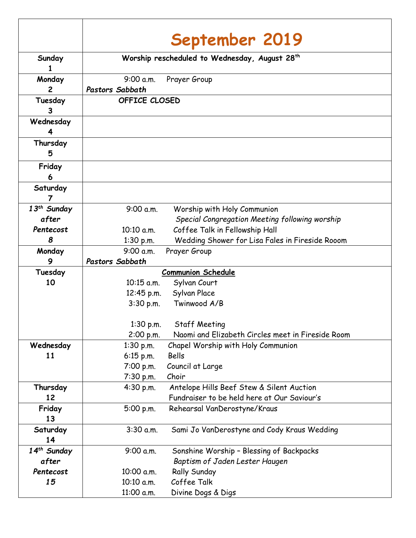|                         |                                               | September 2019                                    |
|-------------------------|-----------------------------------------------|---------------------------------------------------|
|                         |                                               |                                                   |
| Sunday                  | Worship rescheduled to Wednesday, August 28th |                                                   |
| Monday                  | 9:00 a.m.                                     | Prayer Group                                      |
| $\overline{2}$          | <b>Pastors Sabbath</b>                        |                                                   |
| Tuesday<br>3            | OFFICE CLOSED                                 |                                                   |
| Wednesday<br>4          |                                               |                                                   |
| Thursday<br>5           |                                               |                                                   |
| Friday<br>6             |                                               |                                                   |
| Saturday<br>7           |                                               |                                                   |
| 13 <sup>th</sup> Sunday | 9:00 a.m.                                     | Worship with Holy Communion                       |
| after                   |                                               | Special Congregation Meeting following worship    |
| Pentecost               | 10:10 a.m.                                    | Coffee Talk in Fellowship Hall                    |
| 8                       | 1:30 p.m.                                     | Wedding Shower for Lisa Fales in Fireside Rooom   |
| Monday                  | 9:00 a.m.                                     | Prayer Group                                      |
| 9                       | <b>Pastors Sabbath</b>                        |                                                   |
| Tuesday                 | Communion Schedule                            |                                                   |
| 10                      | 10:15 a.m.                                    | Sylvan Court                                      |
|                         | 12:45 p.m.                                    | Sylvan Place                                      |
|                         | $3:30$ p.m.                                   | Twinwood A/B                                      |
|                         |                                               |                                                   |
|                         | $1:30$ p.m.                                   | <b>Staff Meeting</b>                              |
|                         | 2:00 p.m.                                     | Naomi and Elizabeth Circles meet in Fireside Room |
| Wednesday               | $1:30$ p.m.                                   | Chapel Worship with Holy Communion                |
| 11                      | $6:15$ p.m.                                   | Bells                                             |
|                         | 7:00 p.m.                                     | Council at Large                                  |
|                         | 7:30 p.m.                                     | Choir                                             |
| Thursday                | 4:30 p.m.                                     | Antelope Hills Beef Stew & Silent Auction         |
| 12                      |                                               | Fundraiser to be held here at Our Saviour's       |
| Friday<br>13            | 5:00 p.m.                                     | Rehearsal VanDerostyne/Kraus                      |
| Saturday<br>14          | 3:30 a.m.                                     | Sami Jo VanDerostyne and Cody Kraus Wedding       |
| $14th$ Sunday           | 9:00 a.m.                                     | Sonshine Worship - Blessing of Backpacks          |
| after                   |                                               | Baptism of Jaden Lester Haugen                    |
| Pentecost               | 10:00 a.m.                                    | <b>Rally Sunday</b>                               |
| 15                      | 10:10 a.m.                                    | Coffee Talk                                       |
|                         | 11:00 a.m.                                    | Divine Dogs & Digs                                |